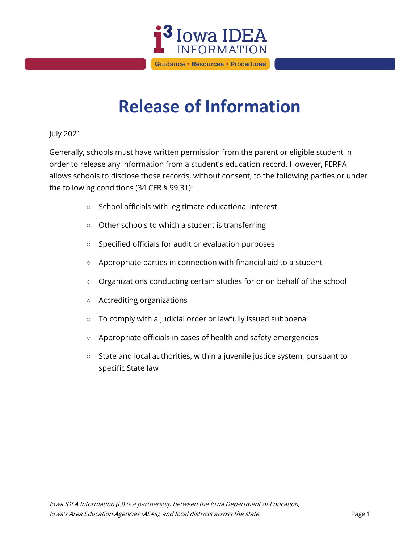

## **Release of Information**

## July 2021

Generally, schools must have written permission from the parent or eligible student in order to release any information from a student's education record. However, FERPA allows schools to disclose those records, without consent, to the following parties or under the following conditions (34 CFR § 99.31):

- School officials with legitimate educational interest
- Other schools to which a student is transferring
- Specified officials for audit or evaluation purposes
- Appropriate parties in connection with financial aid to a student
- Organizations conducting certain studies for or on behalf of the school
- Accrediting organizations
- To comply with a judicial order or lawfully issued subpoena
- Appropriate officials in cases of health and safety emergencies
- State and local authorities, within a juvenile justice system, pursuant to specific State law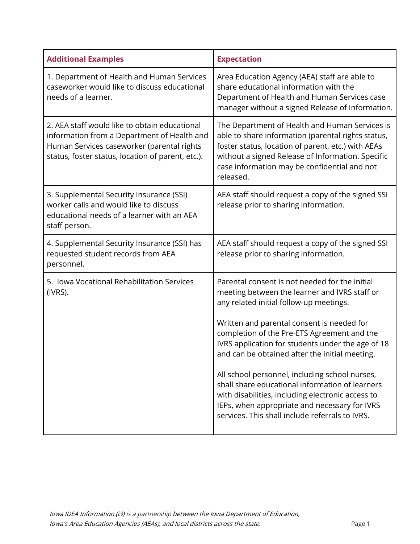| <b>Additional Examples</b>                                                                                                                                                                      | <b>Expectation</b>                                                                                                                                                                                                                                                           |
|-------------------------------------------------------------------------------------------------------------------------------------------------------------------------------------------------|------------------------------------------------------------------------------------------------------------------------------------------------------------------------------------------------------------------------------------------------------------------------------|
| 1. Department of Health and Human Services<br>caseworker would like to discuss educational<br>needs of a learner.                                                                               | Area Education Agency (AEA) staff are able to<br>share educational information with the<br>Department of Health and Human Services case<br>manager without a signed Release of Information.                                                                                  |
| 2. AEA staff would like to obtain educational<br>information from a Department of Health and<br>Human Services caseworker (parental rights<br>status, foster status, location of parent, etc.). | The Department of Health and Human Services is<br>able to share information (parental rights status,<br>foster status, location of parent, etc.) with AEAs<br>without a signed Release of Information. Specific<br>case information may be confidential and not<br>released. |
| 3. Supplemental Security Insurance (SSI)<br>worker calls and would like to discuss<br>educational needs of a learner with an AEA<br>staff person.                                               | AEA staff should request a copy of the signed SSI<br>release prior to sharing information.                                                                                                                                                                                   |
| 4. Supplemental Security Insurance (SSI) has<br>requested student records from AEA<br>personnel.                                                                                                | AEA staff should request a copy of the signed SSI<br>release prior to sharing information.                                                                                                                                                                                   |
| 5. Iowa Vocational Rehabilitation Services<br>(IVRS).                                                                                                                                           | Parental consent is not needed for the initial<br>meeting between the learner and IVRS staff or<br>any related initial follow-up meetings.                                                                                                                                   |
|                                                                                                                                                                                                 | Written and parental consent is needed for<br>completion of the Pre-ETS Agreement and the<br>IVRS application for students under the age of 18<br>and can be obtained after the initial meeting.                                                                             |
|                                                                                                                                                                                                 | All school personnel, including school nurses,<br>shall share educational information of learners<br>with disabilities, including electronic access to<br>IEPs, when appropriate and necessary for IVRS<br>services. This shall include referrals to IVRS.                   |